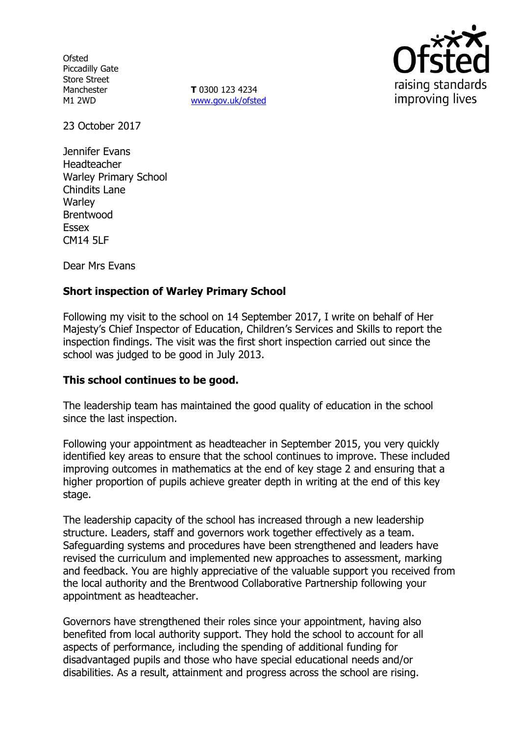**Ofsted** Piccadilly Gate Store Street Manchester M1 2WD

**T** 0300 123 4234 www.gov.uk/ofsted



23 October 2017

Jennifer Evans Headteacher Warley Primary School Chindits Lane **Warley** Brentwood Essex CM14 5LF

Dear Mrs Evans

### **Short inspection of Warley Primary School**

Following my visit to the school on 14 September 2017, I write on behalf of Her Majesty's Chief Inspector of Education, Children's Services and Skills to report the inspection findings. The visit was the first short inspection carried out since the school was judged to be good in July 2013.

### **This school continues to be good.**

The leadership team has maintained the good quality of education in the school since the last inspection.

Following your appointment as headteacher in September 2015, you very quickly identified key areas to ensure that the school continues to improve. These included improving outcomes in mathematics at the end of key stage 2 and ensuring that a higher proportion of pupils achieve greater depth in writing at the end of this key stage.

The leadership capacity of the school has increased through a new leadership structure. Leaders, staff and governors work together effectively as a team. Safeguarding systems and procedures have been strengthened and leaders have revised the curriculum and implemented new approaches to assessment, marking and feedback. You are highly appreciative of the valuable support you received from the local authority and the Brentwood Collaborative Partnership following your appointment as headteacher.

Governors have strengthened their roles since your appointment, having also benefited from local authority support. They hold the school to account for all aspects of performance, including the spending of additional funding for disadvantaged pupils and those who have special educational needs and/or disabilities. As a result, attainment and progress across the school are rising.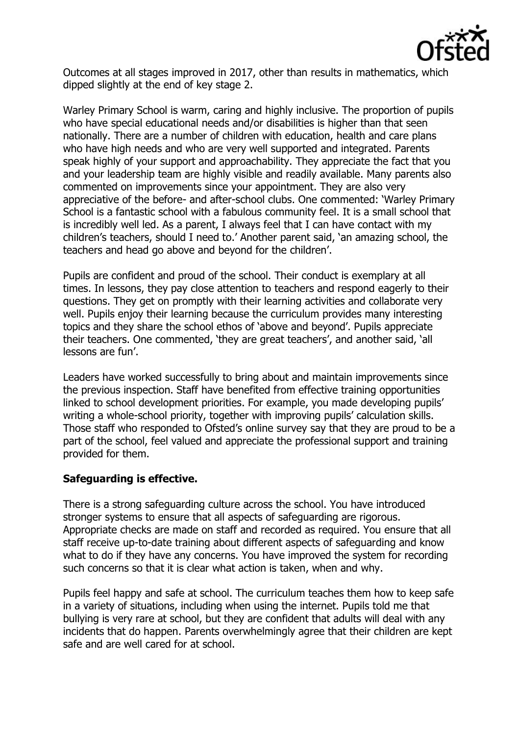

Outcomes at all stages improved in 2017, other than results in mathematics, which dipped slightly at the end of key stage 2.

Warley Primary School is warm, caring and highly inclusive. The proportion of pupils who have special educational needs and/or disabilities is higher than that seen nationally. There are a number of children with education, health and care plans who have high needs and who are very well supported and integrated. Parents speak highly of your support and approachability. They appreciate the fact that you and your leadership team are highly visible and readily available. Many parents also commented on improvements since your appointment. They are also very appreciative of the before- and after-school clubs. One commented: 'Warley Primary School is a fantastic school with a fabulous community feel. It is a small school that is incredibly well led. As a parent, I always feel that I can have contact with my children's teachers, should I need to.' Another parent said, 'an amazing school, the teachers and head go above and beyond for the children'.

Pupils are confident and proud of the school. Their conduct is exemplary at all times. In lessons, they pay close attention to teachers and respond eagerly to their questions. They get on promptly with their learning activities and collaborate very well. Pupils enjoy their learning because the curriculum provides many interesting topics and they share the school ethos of 'above and beyond'. Pupils appreciate their teachers. One commented, 'they are great teachers', and another said, 'all lessons are fun'.

Leaders have worked successfully to bring about and maintain improvements since the previous inspection. Staff have benefited from effective training opportunities linked to school development priorities. For example, you made developing pupils' writing a whole-school priority, together with improving pupils' calculation skills. Those staff who responded to Ofsted's online survey say that they are proud to be a part of the school, feel valued and appreciate the professional support and training provided for them.

# **Safeguarding is effective.**

There is a strong safeguarding culture across the school. You have introduced stronger systems to ensure that all aspects of safeguarding are rigorous. Appropriate checks are made on staff and recorded as required. You ensure that all staff receive up-to-date training about different aspects of safeguarding and know what to do if they have any concerns. You have improved the system for recording such concerns so that it is clear what action is taken, when and why.

Pupils feel happy and safe at school. The curriculum teaches them how to keep safe in a variety of situations, including when using the internet. Pupils told me that bullying is very rare at school, but they are confident that adults will deal with any incidents that do happen. Parents overwhelmingly agree that their children are kept safe and are well cared for at school.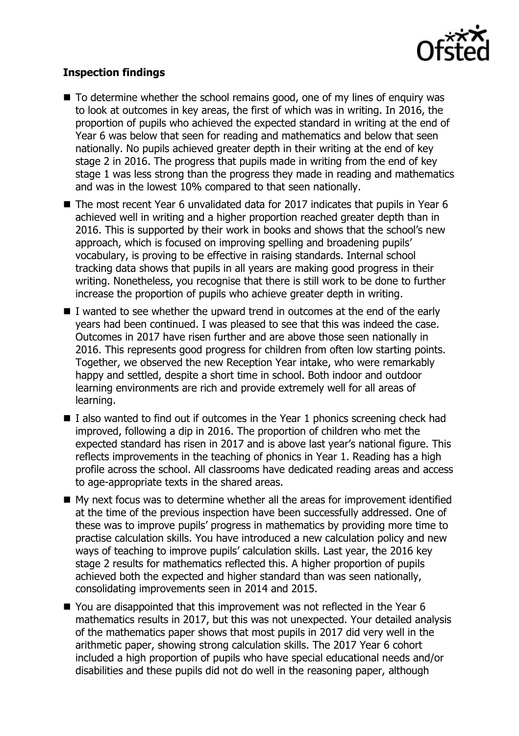

## **Inspection findings**

- $\blacksquare$  To determine whether the school remains good, one of my lines of enquiry was to look at outcomes in key areas, the first of which was in writing. In 2016, the proportion of pupils who achieved the expected standard in writing at the end of Year 6 was below that seen for reading and mathematics and below that seen nationally. No pupils achieved greater depth in their writing at the end of key stage 2 in 2016. The progress that pupils made in writing from the end of key stage 1 was less strong than the progress they made in reading and mathematics and was in the lowest 10% compared to that seen nationally.
- The most recent Year 6 unvalidated data for 2017 indicates that pupils in Year 6 achieved well in writing and a higher proportion reached greater depth than in 2016. This is supported by their work in books and shows that the school's new approach, which is focused on improving spelling and broadening pupils' vocabulary, is proving to be effective in raising standards. Internal school tracking data shows that pupils in all years are making good progress in their writing. Nonetheless, you recognise that there is still work to be done to further increase the proportion of pupils who achieve greater depth in writing.
- $\blacksquare$  I wanted to see whether the upward trend in outcomes at the end of the early years had been continued. I was pleased to see that this was indeed the case. Outcomes in 2017 have risen further and are above those seen nationally in 2016. This represents good progress for children from often low starting points. Together, we observed the new Reception Year intake, who were remarkably happy and settled, despite a short time in school. Both indoor and outdoor learning environments are rich and provide extremely well for all areas of learning.
- $\blacksquare$  I also wanted to find out if outcomes in the Year 1 phonics screening check had improved, following a dip in 2016. The proportion of children who met the expected standard has risen in 2017 and is above last year's national figure. This reflects improvements in the teaching of phonics in Year 1. Reading has a high profile across the school. All classrooms have dedicated reading areas and access to age-appropriate texts in the shared areas.
- My next focus was to determine whether all the areas for improvement identified at the time of the previous inspection have been successfully addressed. One of these was to improve pupils' progress in mathematics by providing more time to practise calculation skills. You have introduced a new calculation policy and new ways of teaching to improve pupils' calculation skills. Last year, the 2016 key stage 2 results for mathematics reflected this. A higher proportion of pupils achieved both the expected and higher standard than was seen nationally, consolidating improvements seen in 2014 and 2015.
- You are disappointed that this improvement was not reflected in the Year 6 mathematics results in 2017, but this was not unexpected. Your detailed analysis of the mathematics paper shows that most pupils in 2017 did very well in the arithmetic paper, showing strong calculation skills. The 2017 Year 6 cohort included a high proportion of pupils who have special educational needs and/or disabilities and these pupils did not do well in the reasoning paper, although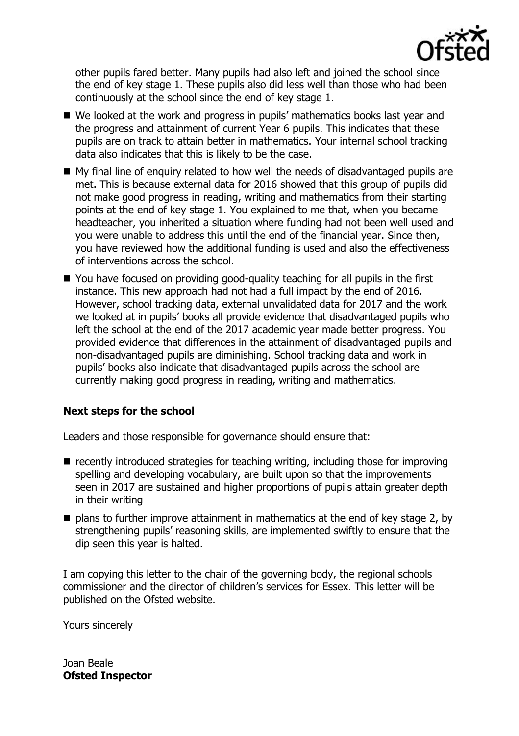

other pupils fared better. Many pupils had also left and joined the school since the end of key stage 1. These pupils also did less well than those who had been continuously at the school since the end of key stage 1.

- We looked at the work and progress in pupils' mathematics books last year and the progress and attainment of current Year 6 pupils. This indicates that these pupils are on track to attain better in mathematics. Your internal school tracking data also indicates that this is likely to be the case.
- My final line of enquiry related to how well the needs of disadvantaged pupils are met. This is because external data for 2016 showed that this group of pupils did not make good progress in reading, writing and mathematics from their starting points at the end of key stage 1. You explained to me that, when you became headteacher, you inherited a situation where funding had not been well used and you were unable to address this until the end of the financial year. Since then, you have reviewed how the additional funding is used and also the effectiveness of interventions across the school.
- You have focused on providing good-quality teaching for all pupils in the first instance. This new approach had not had a full impact by the end of 2016. However, school tracking data, external unvalidated data for 2017 and the work we looked at in pupils' books all provide evidence that disadvantaged pupils who left the school at the end of the 2017 academic year made better progress. You provided evidence that differences in the attainment of disadvantaged pupils and non-disadvantaged pupils are diminishing. School tracking data and work in pupils' books also indicate that disadvantaged pupils across the school are currently making good progress in reading, writing and mathematics.

### **Next steps for the school**

Leaders and those responsible for governance should ensure that:

- $\blacksquare$  recently introduced strategies for teaching writing, including those for improving spelling and developing vocabulary, are built upon so that the improvements seen in 2017 are sustained and higher proportions of pupils attain greater depth in their writing
- $\blacksquare$  plans to further improve attainment in mathematics at the end of key stage 2, by strengthening pupils' reasoning skills, are implemented swiftly to ensure that the dip seen this year is halted.

I am copying this letter to the chair of the governing body, the regional schools commissioner and the director of children's services for Essex. This letter will be published on the Ofsted website.

Yours sincerely

Joan Beale **Ofsted Inspector**